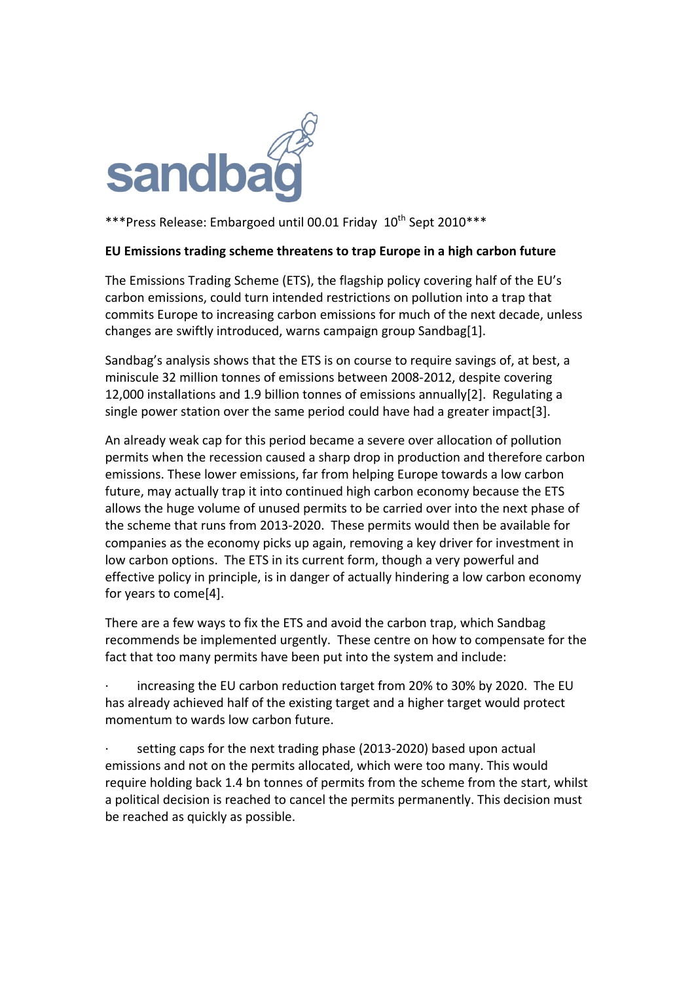

\*\*\*Press Release: Embargoed until 00.01 Friday 10<sup>th</sup> Sept 2010\*\*\*

## **EU Emissions trading scheme threatens to trap Europe in a high carbon future**

The Emissions Trading Scheme (ETS), the flagship policy covering half of the EU's carbon emissions, could turn intended restrictions on pollution into a trap that commits Europe to increasing carbon emissions for much of the next decade, unless changes are swiftly introduced, warns campaign group Sandbag[1].

Sandbag's analysis shows that the ETS is on course to require savings of, at best, a miniscule 32 million tonnes of emissions between 2008-2012, despite covering 12,000 installations and 1.9 billion tonnes of emissions annually[2]. Regulating a single power station over the same period could have had a greater impact[3].

An already weak cap for this period became a severe over allocation of pollution permits when the recession caused a sharp drop in production and therefore carbon emissions. These lower emissions, far from helping Europe towards a low carbon future, may actually trap it into continued high carbon economy because the ETS allows the huge volume of unused permits to be carried over into the next phase of the scheme that runs from 2013-2020. These permits would then be available for companies as the economy picks up again, removing a key driver for investment in low carbon options. The ETS in its current form, though a very powerful and effective policy in principle, is in danger of actually hindering a low carbon economy for years to come[4].

There are a few ways to fix the ETS and avoid the carbon trap, which Sandbag recommends be implemented urgently. These centre on how to compensate for the fact that too many permits have been put into the system and include:

increasing the EU carbon reduction target from 20% to 30% by 2020. The EU has already achieved half of the existing target and a higher target would protect momentum to wards low carbon future.

setting caps for the next trading phase (2013-2020) based upon actual emissions and not on the permits allocated, which were too many. This would require holding back 1.4 bn tonnes of permits from the scheme from the start, whilst a political decision is reached to cancel the permits permanently. This decision must be reached as quickly as possible.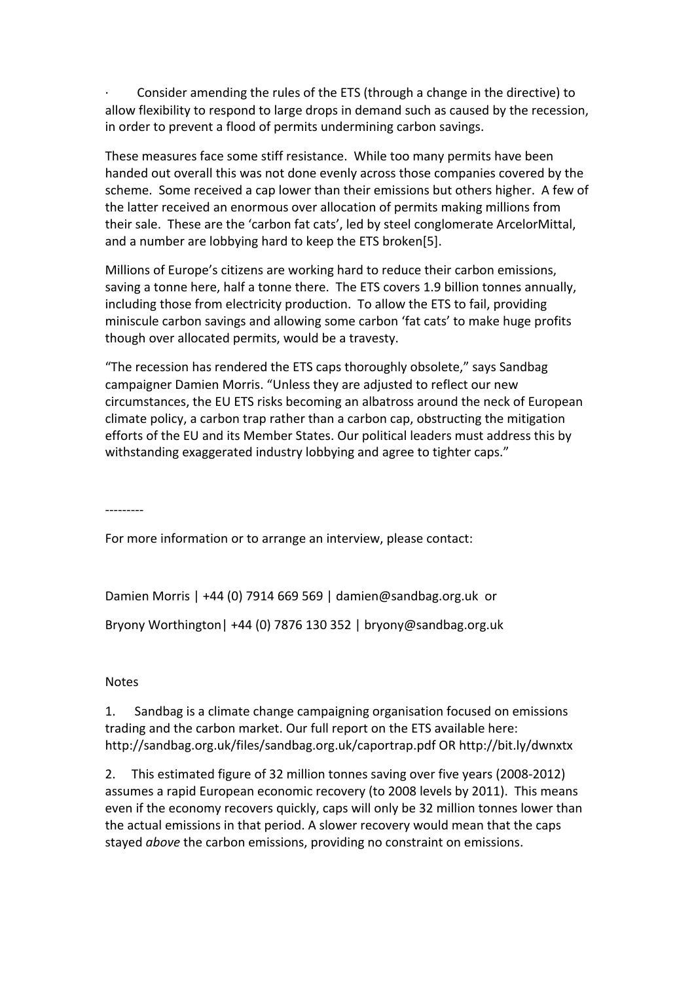Consider amending the rules of the ETS (through a change in the directive) to allow flexibility to respond to large drops in demand such as caused by the recession, in order to prevent a flood of permits undermining carbon savings.

These measures face some stiff resistance. While too many permits have been handed out overall this was not done evenly across those companies covered by the scheme. Some received a cap lower than their emissions but others higher. A few of the latter received an enormous over allocation of permits making millions from their sale. These are the 'carbon fat cats', led by steel conglomerate ArcelorMittal, and a number are lobbying hard to keep the ETS broken[5].

Millions of Europe's citizens are working hard to reduce their carbon emissions, saving a tonne here, half a tonne there. The ETS covers 1.9 billion tonnes annually, including those from electricity production. To allow the ETS to fail, providing miniscule carbon savings and allowing some carbon 'fat cats' to make huge profits though over allocated permits, would be a travesty.

"The recession has rendered the ETS caps thoroughly obsolete," says Sandbag campaigner Damien Morris. "Unless they are adjusted to reflect our new circumstances, the EU ETS risks becoming an albatross around the neck of European climate policy, a carbon trap rather than a carbon cap, obstructing the mitigation efforts of the EU and its Member States. Our political leaders must address this by withstanding exaggerated industry lobbying and agree to tighter caps."

---------<br>-

For more information or to arrange an interview, please contact:

Damien Morris | +44 (0) 7914 669 569 | damien@sandbag.org.uk or

Bryony Worthington | +44 (0) 7876 130 352 | bryony@sandbag.org.uk

## Notes

1. Sandbag is a climate change campaigning organisation focused on emissions trading and the carbon market. Our full report on the ETS available here: http://sandbag.org.uk/files/sandbag.org.uk/caportrap.pdf OR http://bit.ly/dwnxtx

2. This estimated figure of 32 million tonnes saving over five years (2008-2012) assumes a rapid European economic recovery (to 2008 levels by 2011). This means even if the economy recovers quickly, caps will only be 32 million tonnes lower than the actual emissions in that period. A slower recovery would mean that the caps stayed *above* the carbon emissions, providing no constraint on emissions.